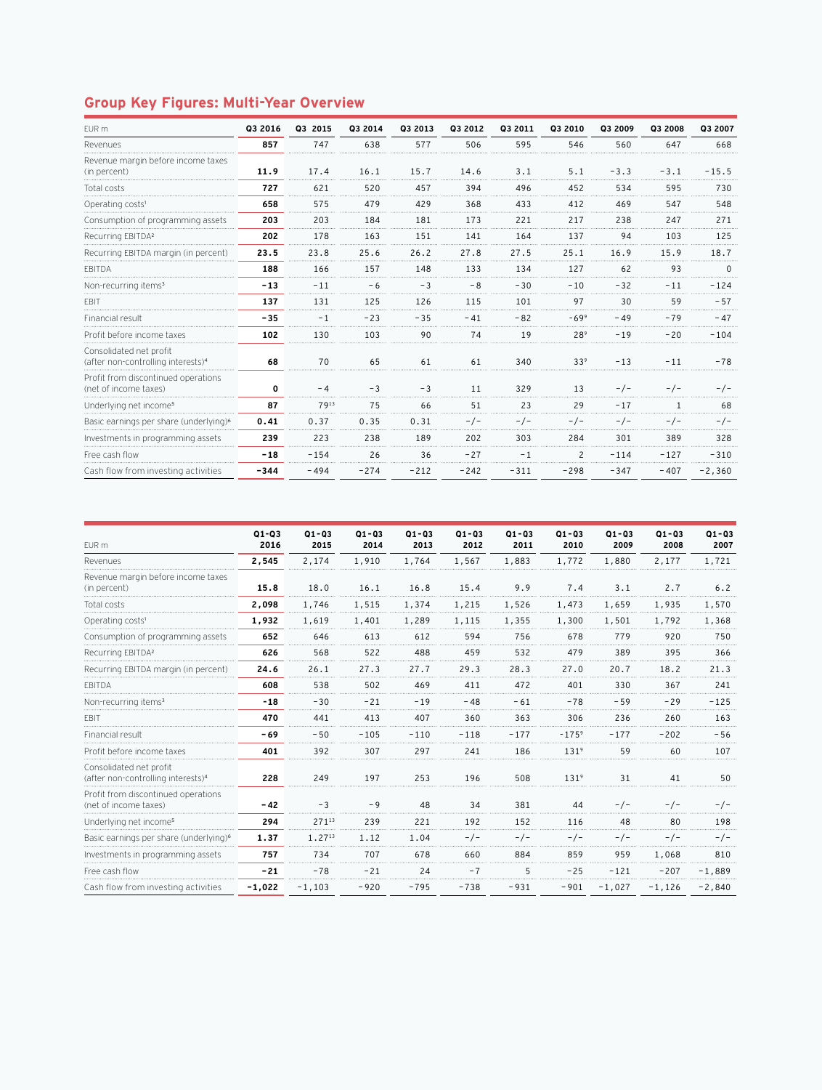## **Group Key Figures: Multi-Year Overview**

| EUR m                                                                     | Q3 2016 | Q3 2015 | Q3 2014 | Q3 2013 | Q3 2012 | 03 2011 | Q3 2010         | Q3 2009 | Q3 2008 | Q3 2007  |
|---------------------------------------------------------------------------|---------|---------|---------|---------|---------|---------|-----------------|---------|---------|----------|
| Revenues                                                                  | 857     | 747     | 638     | 577     | 506     | 595     | 546             | 560     | 647     | 668      |
| Revenue margin before income taxes<br>(in percent)                        | 11.9    | 17.4    | 16.1    | 15.7    | 14.6    | 3.1     | 5.1             | $-3.3$  | $-3.1$  | $-15.5$  |
| Total costs                                                               | 727     | 621     | 520     | 457     | 394     | 496     | 452             | 534     | 595     | 730      |
| Operating costs <sup>1</sup>                                              | 658     | 575     | 479     | 429     | 368     | 433     | 412             | 469     | 547     | 548      |
| Consumption of programming assets                                         | 203     | 203     | 184     | 181     | 173     | 221     | 217             | 238     | 247     | 271      |
| Recurring EBITDA <sup>2</sup>                                             | 202     | 178     | 163     | 151     | 141     | 164     | 137             | 94      | 103     | 125      |
| Recurring EBITDA margin (in percent)                                      | 23.5    | 23.8    | 25.6    | 26.2    | 27.8    | 27.5    | 25.1            | 16.9    | 15.9    | 18.7     |
| <b>FBITDA</b>                                                             | 188     | 166     | 157     | 148     | 133     | 134     | 127             | 62      | 93      | $\Omega$ |
| Non-recurring items <sup>3</sup>                                          | $-13$   | $-11$   | - 6     | $-3$    | -8      | $-30$   | $-10$           | $-32$   | $-11$   | $-124$   |
| EBIT                                                                      | 137     | 131     | 125     | 126     | 115     | 101     | 97              | 30      | 59      | $-57$    |
| Financial result                                                          | $-35$   | $-1$    | $-23$   | $-35$   | $-41$   | $-82$   | $-699$          | $-49$   | $-79$   | $-47$    |
| Profit before income taxes                                                | 102     | 130     | 103     | 90      | 74      | 19      | 289             | $-19$   | $-20$   | $-104$   |
| Consolidated net profit<br>(after non-controlling interests) <sup>4</sup> | 68      | 70      | 65      | 61      | 61      | 340     | 33 <sup>9</sup> | $-13$   | $-11$   | $-78$    |
| Profit from discontinued operations<br>(net of income taxes)              | 0       | $-4$    | $-3$    | $-3$    | 11      | 329     | 13              | $-/-$   | $-/-$   | $-/-$    |
| Underlying net income <sup>5</sup>                                        | 87      | 7913    | 75      | 66      | 51      | 23      | 29              | $-17$   |         | 68       |
| Basic earnings per share (underlying) <sup>6</sup>                        | 0.41    | 0.37    | 0.35    | 0.31    | - / -   | $-/-$   | $-/-$           | $-/-$   |         | - / -    |
| Investments in programming assets                                         | 239     | 223     | 238     | 189     | 202     | 303     | 284             | 301     | 389     | 328      |
| Free cash flow                                                            | $-18$   | $-154$  | 26      | 36      | $-27$   | $-1$    | $\overline{c}$  | $-114$  | $-127$  | $-310$   |
| Cash flow from investing activities                                       | $-344$  | $-494$  | $-274$  | $-212$  | $-242$  | $-311$  | $-298$          | $-347$  | $-407$  | $-2,360$ |

|                                                                           | $Q1 - Q3$ | $Q1 - Q3$ | $Q1 - Q3$ | $Q1 - Q3$ | $Q1 - Q3$ | $Q1 - Q3$ | $Q1 - Q3$        | $Q1 - Q3$ | $Q1 - Q3$ | $Q1 - Q3$ |
|---------------------------------------------------------------------------|-----------|-----------|-----------|-----------|-----------|-----------|------------------|-----------|-----------|-----------|
| EUR m                                                                     | 2016      | 2015      | 2014      | 2013      | 2012      | 2011      | 2010             | 2009      | 2008      | 2007      |
| Revenues                                                                  | 2,545     | 2,174     | 1,910     | 1,764     | 1,567     | 1,883     | 1,772            | 1,880     | 2,177     | 1,721     |
| Revenue margin before income taxes<br>(in percent)                        | 15.8      | 18.0      | 16.1      | 16.8      | 15.4      | 9.9       | 7.4              | 3.1       | 2.7       | 6.2       |
| Total costs                                                               | 2,098     | 1,746     | 1,515     | 1,374     | 1,215     | 1,526     | 1,473            | 1,659     | 1,935     | 1,570     |
| Operating costs <sup>1</sup>                                              | 1,932     | 1,619     | 1,401     | 1,289     | 1,115     | 1,355     | 1,300            | 1,501     | 1,792     | 1,368     |
| Consumption of programming assets                                         | 652       | 646       | 613       | 612       | 594       | 756       | 678              | 779       | 920       | 750       |
| Recurring EBITDA <sup>2</sup>                                             | 626       | 568       | 522       | 488       | 459       | 532       | 479              | 389       | 395       | 366       |
| Recurring EBITDA margin (in percent)                                      | 24.6      | 26.1      | 27.3      | 27.7      | 29.3      | 28.3      | 27.0             | 20.7      | 18.2      | 21.3      |
| <b>FBITDA</b>                                                             | 608       | 538       | 502       | 469       | 411       | 472       | 401              | 330       | 367       | 241       |
| Non-recurring items <sup>3</sup>                                          | $-18$     | $-30$     | $-21$     | $-19$     | $-48$     | $-61$     | $-78$            | $-59$     | $-29$     | $-125$    |
| EBIT                                                                      | 470       | 441       | 413       | 407       | 360       | 363       | 306              | 236       | 260       | 163       |
| Financial result                                                          | $-69$     | $-50$     | $-105$    | $-110$    | $-118$    | $-177$    | $-175^{9}$       | $-177$    | $-202$    | $-56$     |
| Profit before income taxes                                                | 401       | 392       | 307       | 297       | 241       | 186       | 131 <sup>9</sup> | 59        | 60        | 107       |
| Consolidated net profit<br>(after non-controlling interests) <sup>4</sup> | 228       | 249       | 197       | 253       | 196       | 508       | 131 <sup>9</sup> | 31        | 41        | 50        |
| Profit from discontinued operations<br>(net of income taxes)              | $-42$     | $-3$      | $-9$      | 48        | 34        | 381       | 44               | $-/-$     | $-/-$     | $-/-$     |
| Underlying net income <sup>5</sup>                                        | 294       | 27113     | 239       | 221       | 192       | 152       | 116              | 48        | 80        | 198       |
| Basic earnings per share (underlying) <sup>6</sup>                        | 1.37      | 1.2713    | 1.12      | 1.04      | $-/-$     | $-/-$     | $-/-$            | $-/-$     | $-/-$     | $-/-$     |
| Investments in programming assets                                         | 757       | 734       | 707       | 678       | 660       | 884       | 859              | 959       | 1,068     | 810       |
| Free cash flow                                                            | $-21$     | $-78$     | $-21$     | 24        | $-7$      | 5         | $-25$            | $-121$    | $-207$    | $-1.889$  |
| Cash flow from investing activities                                       | $-1,022$  | $-1,103$  | $-920$    | $-795$    | $-738$    | $-931$    | $-901$           | $-1,027$  | $-1,126$  | $-2,840$  |